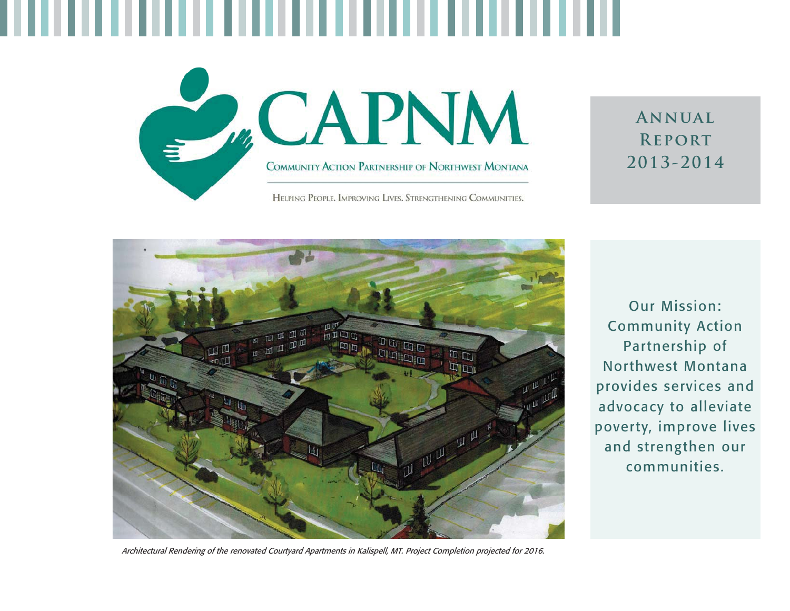

## **Annual Report 2013-2014**



Our Mission: Community Action Partnership of Northwest Montana provides services and advocacy to alleviate poverty, improve lives and strengthen our communities.

Architectural Rendering of the renovated Courtyard Apartments in Kalispell, MT. Project Completion projected for 2016.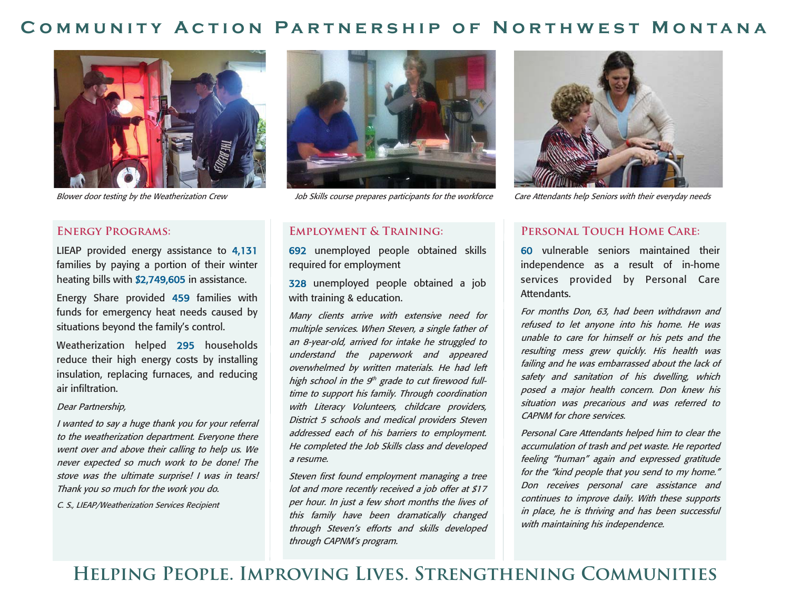### **Community Action Partnership of Northwest Montana**



#### **Energy Programs:**

LIEAP provided energy assistance to 4,131 families by paying a portion of their winter heating bills with \$2,749,605 in assistance.

Energy Share provided 459 families with funds for emergency heat needs caused by situations beyond the family's control.

Weatherization helped 295 households reduce their high energy costs by installing insulation, replacing furnaces, and reducing air infiltration.

#### Dear Partnership,

I wanted to say a huge thank you for your referral to the weatherization department. Everyone there went over and above their calling to help us. We never expected so much work to be done! The stove was the ultimate surprise! I was in tears! Thank you so much for the work you do.

C. S., LIEAP/Weatherization Services Recipient



#### **Employment & Training:**

692 unemployed people obtained skills required for employment

328 unemployed people obtained a job with training & education.

Many clients arrive with extensive need for multiple services. When Steven, a single father of an 8-year-old, arrived for intake he struggled to understand the paperwork and appeared overwhelmed by written materials. He had left high school in the  $9<sup>th</sup>$  grade to cut firewood fulltime to support his family. Through coordination with Literacy Volunteers, childcare providers, District 5 schools and medical providers Steven addressed each of his barriers to employment. He completed the Job Skills class and developed a resume.

Steven first found employment managing a tree lot and more recently received a job offer at \$17 per hour. In just a few short months the lives of this family have been dramatically changed through Steven's efforts and skills developed through CAPNM's program.



Blower door testing by the Weatherization Crew Job Skills course prepares participants for the workforce Care Attendants help Seniors with their everyday needs

### PERSONAL TOUCH HOME CARE:

60 vulnerable seniors maintained their independence as a result of in-home services provided by Personal Care Attendants.

For months Don, 63, had been withdrawn and refused to let anyone into his home. He was unable to care for himself or his pets and the resulting mess grew quickly. His health was failing and he was embarrassed about the lack of safety and sanitation of his dwelling, which posed a major health concern. Don knew his situation was precarious and was referred to CAPNM for chore services.

Personal Care Attendants helped him to clear the accumulation of trash and pet waste. He reported feeling "human" again and expressed gratitude for the "kind people that you send to my home." Don receives personal care assistance and continues to improve daily. With these supports in place, he is thriving and has been successful with maintaining his independence.

**Helping People. Improving Lives. Strengthening Communities**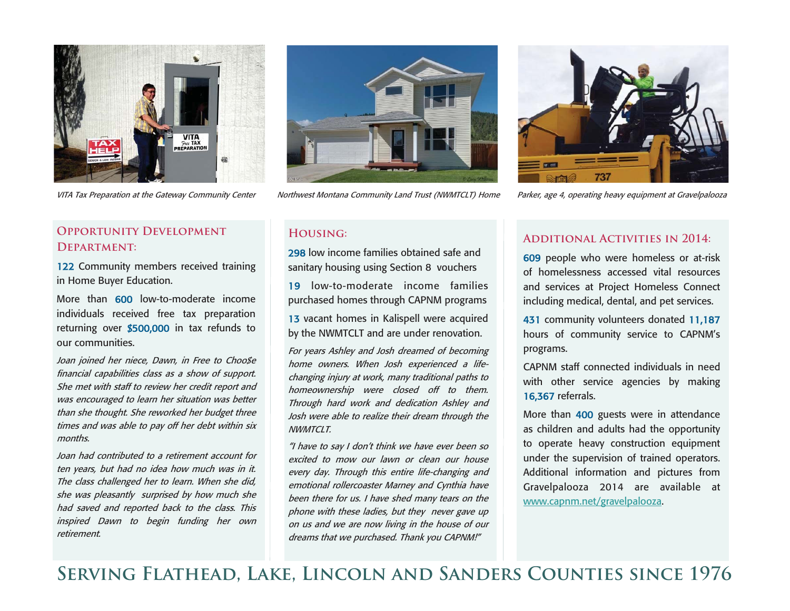

12 2 Community members received training

More than 600 low-to-moderate income individuals received free tax preparation returning over \$ 500,0 00 in tax refunds to

Joan joined her niece, Dawn, in Free to Choo\$e financial capabilities class as a show of support. She met with staff to review her credit report and was encouraged to learn her situation was better than she thought. She reworked her budget three times and was able to pay off her debt within six

Joan had contributed to a retirement account for ten years, but had no idea how much was in it. The class challenged her to learn. When she did, she was pleasantly surprised by how much she had saved and reported back to the class. This inspired Dawn to begin funding her own

**Opportunity Development** 

**Department:** 

our communities.

months.

retirement.

in Home Buyer Education.



VITA Tax Preparation at the Gateway Community Center Northwest Montana Community Land Trust (NWMTCLT) Home Parker, age 4, operating heavy equipment at Gravelpalooza



### **Housing:**

298 low income families obtained safe and sanitary housing using Section 8 vouchers

19 low-to-moderate income families purchased homes through CAPNM programs

13 vacant homes in Kalispell were acquired by the NWMTCLT and are under renovation.

For years Ashley and Josh dreamed of becoming home owners. When Josh experienced a lifechanging injury at work, many traditional paths to homeownership were closed off to them. Through hard work and dedication Ashley and Josh were able to realize their dream through the NWMTCLT.

"I have to say I don't think we have ever been so excited to mow our lawn or clean our house every day. Through this entire life-changing and emotional rollercoaster Marney and Cynthia have been there for us. I have shed many tears on the phone with these ladies, but they never gave up on us and we are now living in the house of our dreams that we purchased. Thank you CAPNM!"

#### **Additional Activities in 2014:**

609 people who were homeless or at-risk of homelessness accessed vital resources and services at Project Homeless Connect including medical, dental, and pet services.

4 31 community volunteers donated 11,18 7 hours of community service to CAPNM's programs.

CAPNM staff connected individuals in need with other service agencies by making 16,3 67 referrals.

More than 4 0 0 guests were in attendance as children and adults had the opportunity to operate heavy construction equipment under the supervision of trained operators. Additional information and pictures from Gravelpalooza 2014 are available at www.capnm.net/gravelpalooza.

**Serving Flathead, Lake, Lincoln and Sanders Counties since 1976**